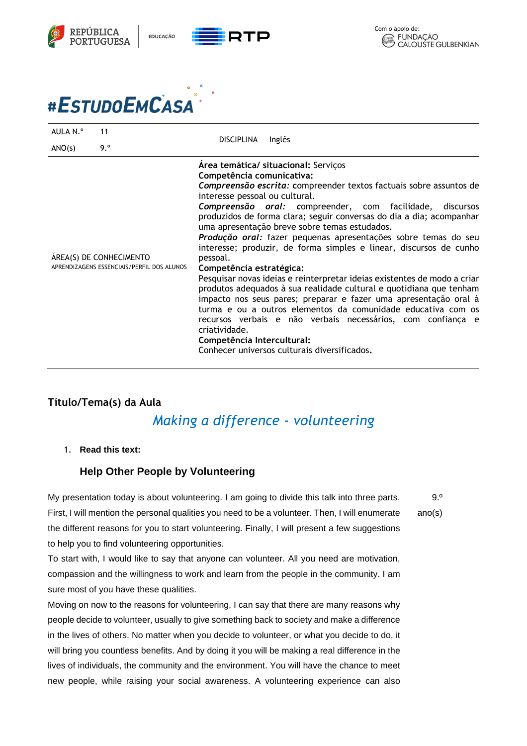

## #ESTUDOEMCASA

| AULA N.º                                                              | 11  | <b>DISCIPLINA</b><br>Inglês                                                                                                                                                                                                                                                                                                                                                                                                                                                                                                                                                                                                                                                                                                                                                                                                                                                                                                                                                                            |
|-----------------------------------------------------------------------|-----|--------------------------------------------------------------------------------------------------------------------------------------------------------------------------------------------------------------------------------------------------------------------------------------------------------------------------------------------------------------------------------------------------------------------------------------------------------------------------------------------------------------------------------------------------------------------------------------------------------------------------------------------------------------------------------------------------------------------------------------------------------------------------------------------------------------------------------------------------------------------------------------------------------------------------------------------------------------------------------------------------------|
| ANO(s)                                                                | 9.° |                                                                                                                                                                                                                                                                                                                                                                                                                                                                                                                                                                                                                                                                                                                                                                                                                                                                                                                                                                                                        |
| ÁREA(S) DE CONHECIMENTO<br>APRENDIZAGENS ESSENCIAIS/PERFIL DOS ALUNOS |     | Area temática/ situacional: Serviços<br>Competência comunicativa:<br>Compreensão escrita: compreender textos factuais sobre assuntos de<br>interesse pessoal ou cultural.<br>Compreensão oral: compreender, com facilidade,<br>discursos<br>produzidos de forma clara; seguir conversas do dia a dia; acompanhar<br>uma apresentação breve sobre temas estudados.<br>Produção oral: fazer pequenas apresentações sobre temas do seu<br>interesse; produzir, de forma simples e linear, discursos de cunho<br>pessoal.<br>Competência estratégica:<br>Pesquisar novas ideias e reinterpretar ideias existentes de modo a criar<br>produtos adequados à sua realidade cultural e quotidiana que tenham<br>impacto nos seus pares; preparar e fazer uma apresentação oral à<br>turma e ou a outros elementos da comunidade educativa com os<br>recursos verbais e não verbais necessários, com confiança e<br>criatividade.<br>Competência Intercultural:<br>Conhecer universos culturais diversificados. |

## **Título/Tema(s) da Aula** *Making a difference - volunteering*

1. **Read this text:** 

## **Help Other People by Volunteering**

My presentation today is about volunteering. I am going to divide this talk into three parts. First, I will mention the personal qualities you need to be a volunteer. Then, I will enumerate the different reasons for you to start volunteering. Finally, I will present a few suggestions to help you to find volunteering opportunities. ano(s)

To start with, I would like to say that anyone can volunteer. All you need are motivation, compassion and the willingness to work and learn from the people in the community. I am sure most of you have these qualities.

Moving on now to the reasons for volunteering, I can say that there are many reasons why people decide to volunteer, usually to give something back to society and make a difference in the lives of others. No matter when you decide to volunteer, or what you decide to do, it will bring you countless benefits. And by doing it you will be making a real difference in the lives of individuals, the community and the environment. You will have the chance to meet new people, while raising your social awareness. A volunteering experience can also

9.º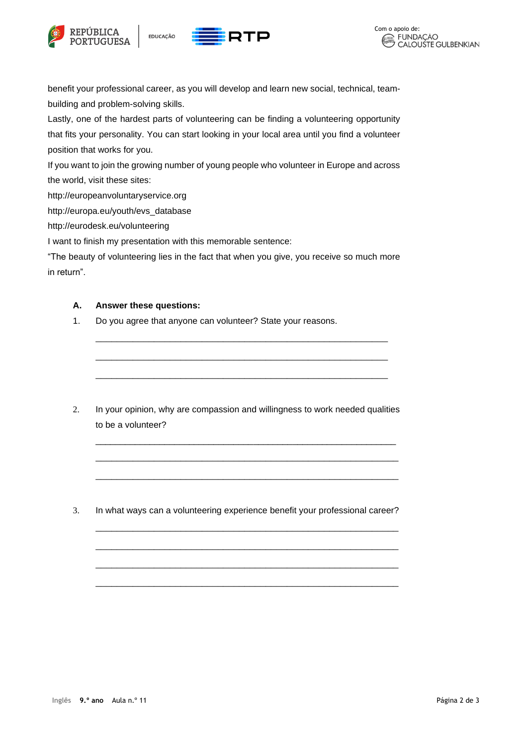





benefit your professional career, as you will develop and learn new social, technical, teambuilding and problem-solving skills.

Lastly, one of the hardest parts of volunteering can be finding a volunteering opportunity that fits your personality. You can start looking in your local area until you find a volunteer position that works for you.

If you want to join the growing number of young people who volunteer in Europe and across the world, visit these sites:

http://europeanvoluntaryservice.org

http://europa.eu/youth/evs\_database

http://eurodesk.eu/volunteering

I want to finish my presentation with this memorable sentence:

"The beauty of volunteering lies in the fact that when you give, you receive so much more in return".

## **A. Answer these questions:**

1. Do you agree that anyone can volunteer? State your reasons.

2. In your opinion, why are compassion and willingness to work needed qualities to be a volunteer?

\_\_\_\_\_\_\_\_\_\_\_\_\_\_\_\_\_\_\_\_\_\_\_\_\_\_\_\_\_\_\_\_\_\_\_\_\_\_\_\_\_\_\_\_\_\_\_\_\_\_\_\_\_\_\_\_\_\_\_\_\_ \_\_\_\_\_\_\_\_\_\_\_\_\_\_\_\_\_\_\_\_\_\_\_\_\_\_\_\_\_\_\_\_\_\_\_\_\_\_\_\_\_\_\_\_\_\_\_\_\_\_\_\_\_\_\_\_\_

\_\_\_\_\_\_\_\_\_\_\_\_\_\_\_\_\_\_\_\_\_\_\_\_\_\_\_\_\_\_\_\_\_\_\_\_\_\_\_\_\_\_\_\_\_\_\_\_\_\_\_\_\_\_\_\_\_

\_\_\_\_\_\_\_\_\_\_\_\_\_\_\_\_\_\_\_\_\_\_\_\_\_\_\_\_\_\_\_\_\_\_\_\_\_\_\_\_\_\_\_\_\_\_\_\_\_\_\_\_\_\_\_\_\_

\_\_\_\_\_\_\_\_\_\_\_\_\_\_\_\_\_\_\_\_\_\_\_\_\_\_\_\_\_\_\_\_\_\_\_\_\_\_\_\_\_\_\_\_\_\_\_\_\_\_\_\_\_\_\_\_\_

\_\_\_\_\_\_\_\_\_\_\_\_\_\_\_\_\_\_\_\_\_\_\_\_\_\_\_\_\_\_\_\_\_\_\_\_\_\_\_\_\_\_\_\_\_\_\_\_\_\_\_\_\_\_\_\_\_

\_\_\_\_\_\_\_\_\_\_\_\_\_\_\_\_\_\_\_\_\_\_\_\_\_\_\_\_\_\_\_\_\_\_\_\_\_\_\_\_\_\_\_\_\_\_\_\_\_\_\_\_\_\_\_\_\_

\_\_\_\_\_\_\_\_\_\_\_\_\_\_\_\_\_\_\_\_\_\_\_\_\_\_\_\_\_\_\_\_\_\_\_\_\_\_\_\_\_\_\_\_\_\_\_\_\_\_\_\_\_\_\_

\_\_\_\_\_\_\_\_\_\_\_\_\_\_\_\_\_\_\_\_\_\_\_\_\_\_\_\_\_\_\_\_\_\_\_\_\_\_\_\_\_\_\_\_\_\_\_\_\_\_\_\_\_\_\_

\_\_\_\_\_\_\_\_\_\_\_\_\_\_\_\_\_\_\_\_\_\_\_\_\_\_\_\_\_\_\_\_\_\_\_\_\_\_\_\_\_\_\_\_\_\_\_\_\_\_\_\_\_\_\_

3. In what ways can a volunteering experience benefit your professional career?